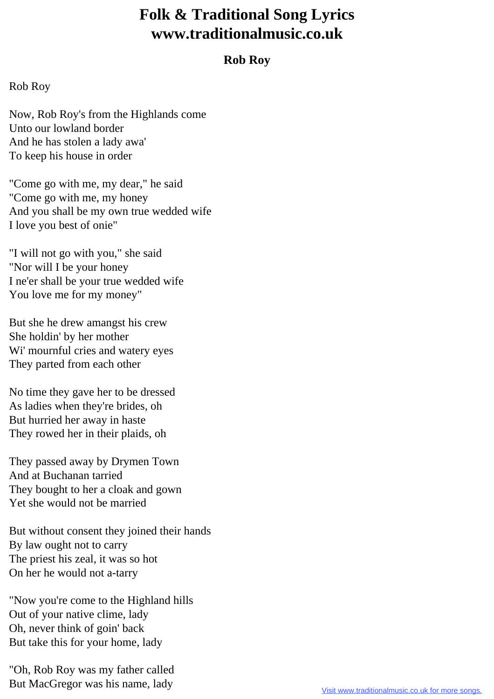## **Folk & Traditional Song Lyrics www.traditionalmusic.co.uk**

## **Rob Roy**

## Rob Roy

Now, Rob Roy's from the Highlands come Unto our lowland border And he has stolen a lady awa' To keep his house in order

"Come go with me, my dear," he said "Come go with me, my honey And you shall be my own true wedded wife I love you best of onie"

"I will not go with you," she said "Nor will I be your honey I ne'er shall be your true wedded wife You love me for my money"

But she he drew amangst his crew She holdin' by her mother Wi' mournful cries and watery eyes They parted from each other

No time they gave her to be dressed As ladies when they're brides, oh But hurried her away in haste They rowed her in their plaids, oh

They passed away by Drymen Town And at Buchanan tarried They bought to her a cloak and gown Yet she would not be married

But without consent they joined their hands By law ought not to carry The priest his zeal, it was so hot On her he would not a-tarry

"Now you're come to the Highland hills Out of your native clime, lady Oh, never think of goin' back But take this for your home, lady

"Oh, Rob Roy was my father called But MacGregor was his name, lady